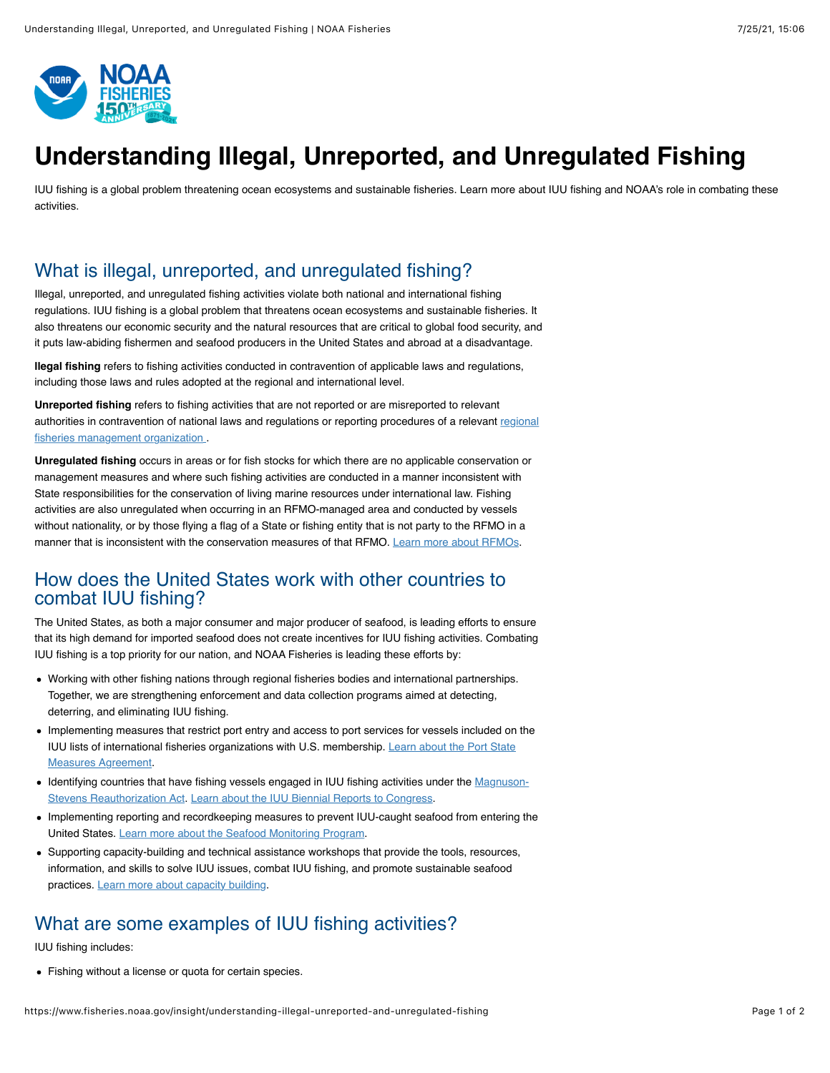

# **Understanding Illegal, Unreported, and Unregulated Fishing**

IUU fishing is a global problem threatening ocean ecosystems and sustainable fisheries. Learn more about IUU fishing and NOAA's role in combating these activities.

## What is illegal, unreported, and unregulated fishing?

Illegal, unreported, and unregulated fishing activities violate both national and international fishing regulations. IUU fishing is a global problem that threatens ocean ecosystems and sustainable fisheries. It also threatens our economic security and the natural resources that are critical to global food security, and it puts law-abiding fishermen and seafood producers in the United States and abroad at a disadvantage.

**llegal fishing** refers to fishing activities conducted in contravention of applicable laws and regulations, including those laws and rules adopted at the regional and international level.

**Unreported fishing** refers to fishing activities that are not reported or are misreported to relevant [authorities in contravention of national laws and regulations or reporting procedures of a relevant regional](https://www.fisheries.noaa.gov/national/international-affairs/regional-international-agreements) fisheries management organization

**Unregulated fishing** occurs in areas or for fish stocks for which there are no applicable conservation or management measures and where such fishing activities are conducted in a manner inconsistent with State responsibilities for the conservation of living marine resources under international law. Fishing activities are also unregulated when occurring in an RFMO-managed area and conducted by vessels without nationality, or by those flying a flag of a State or fishing entity that is not party to the RFMO in a manner that is inconsistent with the conservation measures of that RFMO. [Learn more about RFMOs.](https://www.fisheries.noaa.gov/national/international-affairs/regional-international-agreements)

## How does the United States work with other countries to combat IUU fishing?

The United States, as both a major consumer and major producer of seafood, is leading efforts to ensure that its high demand for imported seafood does not create incentives for IUU fishing activities. Combating IUU fishing is a top priority for our nation, and NOAA Fisheries is leading these efforts by:

- Working with other fishing nations through regional fisheries bodies and international partnerships. Together, we are strengthening enforcement and data collection programs aimed at detecting, deterring, and eliminating IUU fishing.
- Implementing measures that restrict port entry and access to port services for vessels included on the [IUU lists of international fisheries organizations with U.S. membership. Learn about the Port State](https://www.fisheries.noaa.gov/enforcement/frequent-questions-implementing-port-state-measures-agreement) Measures Agreement.
- [Identifying countries that have fishing vessels engaged in IUU fishing activities under the Magnuson-](https://www.fisheries.noaa.gov/topic/laws-policies#magnuson-stevens-act)Stevens Reauthorization Act. [Learn about the IUU Biennial Reports to Congress](https://www.fisheries.noaa.gov/foreign/international-affairs/identification-iuu-fishing-activities).
- Implementing reporting and recordkeeping measures to prevent IUU-caught seafood from entering the United States. [Learn more about the Seafood Monitoring Program.](https://www.fisheries.noaa.gov/international/seafood-import-monitoring-program)
- Supporting capacity-building and technical assistance workshops that provide the tools, resources, information, and skills to solve IUU issues, combat IUU fishing, and promote sustainable seafood practices. [Learn more about capacity building](https://www.fisheries.noaa.gov/feature-story/two-week-workshop-targets-capacity-building-prevent-iuu-fishing).

## What are some examples of IUU fishing activities?

IUU fishing includes:

Fishing without a license or quota for certain species.